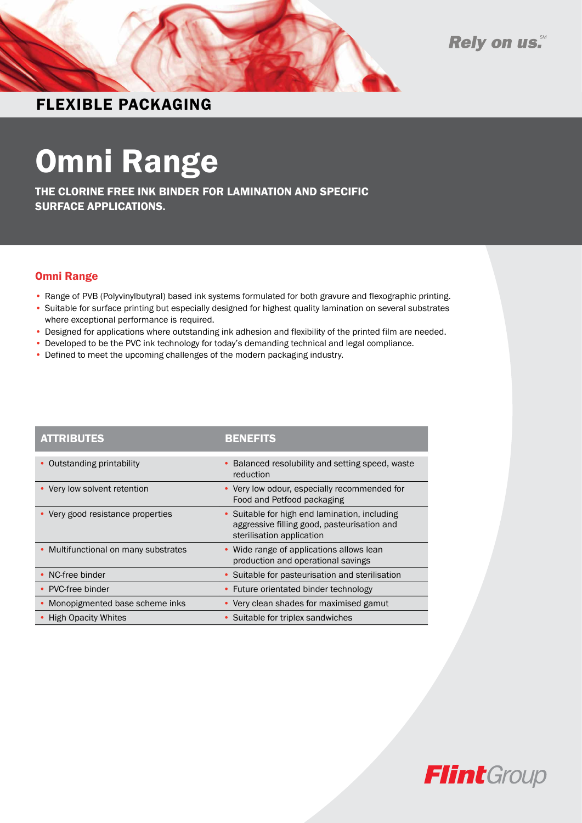

### FLEXIBLE PACKAGING

# Omni Range

THE CLORINE FREE INK BINDER FOR LAMINATION AND SPECIFIC SURFACE APPLICATIONS.

#### Omni Range

- Range of PVB (Polyvinylbutyral) based ink systems formulated for both gravure and flexographic printing.
- Suitable for surface printing but especially designed for highest quality lamination on several substrates where exceptional performance is required.
- Designed for applications where outstanding ink adhesion and flexibility of the printed film are needed.
- Developed to be the PVC ink technology for today's demanding technical and legal compliance.
- Defined to meet the upcoming challenges of the modern packaging industry.

| <b>ATTRIBUTES</b>                    | <b>BENEFITS</b>                                                                                                           |
|--------------------------------------|---------------------------------------------------------------------------------------------------------------------------|
| Outstanding printability             | Balanced resolubility and setting speed, waste<br>reduction                                                               |
| • Very low solvent retention         | • Very low odour, especially recommended for<br>Food and Petfood packaging                                                |
| • Very good resistance properties    | • Suitable for high end lamination, including<br>aggressive filling good, pasteurisation and<br>sterilisation application |
| • Multifunctional on many substrates | • Wide range of applications allows lean<br>production and operational savings                                            |
| NC-free binder                       | • Suitable for pasteurisation and sterilisation                                                                           |
| PVC-free binder                      | • Future orientated binder technology                                                                                     |
| Monopigmented base scheme inks       | • Very clean shades for maximised gamut                                                                                   |
| <b>High Opacity Whites</b>           | • Suitable for triplex sandwiches                                                                                         |